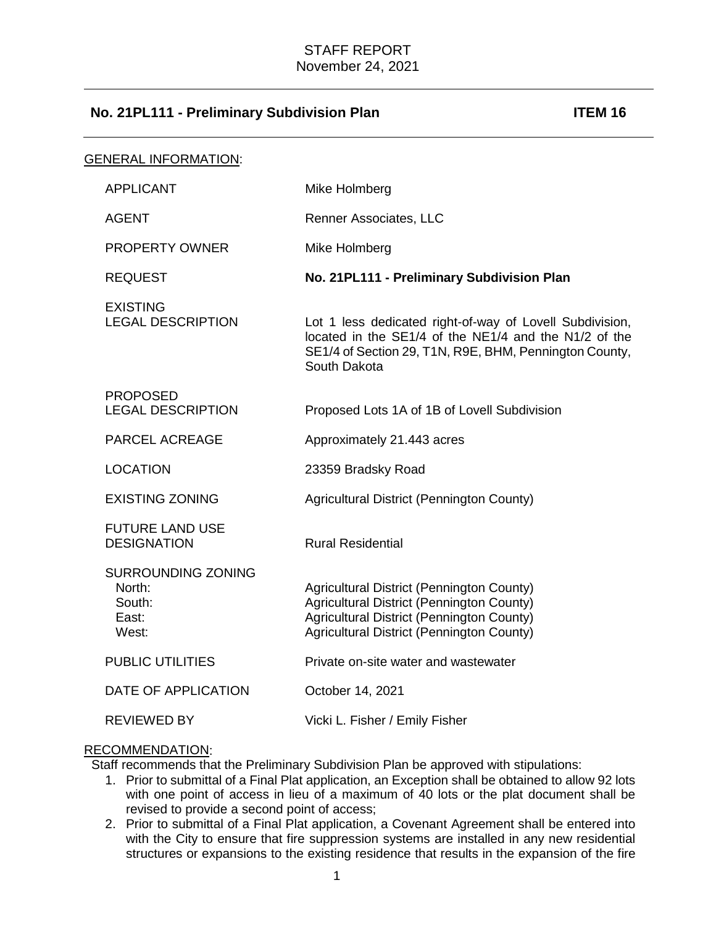| <b>GENERAL INFORMATION:</b> |                                                                 |                                                                                                                                                                                             |
|-----------------------------|-----------------------------------------------------------------|---------------------------------------------------------------------------------------------------------------------------------------------------------------------------------------------|
|                             | <b>APPLICANT</b>                                                | Mike Holmberg                                                                                                                                                                               |
|                             | AGENT                                                           | Renner Associates, LLC                                                                                                                                                                      |
|                             | <b>PROPERTY OWNER</b>                                           | Mike Holmberg                                                                                                                                                                               |
|                             | <b>REQUEST</b>                                                  | No. 21PL111 - Preliminary Subdivision Plan                                                                                                                                                  |
|                             | <b>EXISTING</b><br><b>LEGAL DESCRIPTION</b>                     | Lot 1 less dedicated right-of-way of Lovell Subdivision,<br>located in the SE1/4 of the NE1/4 and the N1/2 of the<br>SE1/4 of Section 29, T1N, R9E, BHM, Pennington County,<br>South Dakota |
|                             | <b>PROPOSED</b><br><b>LEGAL DESCRIPTION</b>                     | Proposed Lots 1A of 1B of Lovell Subdivision                                                                                                                                                |
|                             | PARCEL ACREAGE                                                  | Approximately 21.443 acres                                                                                                                                                                  |
|                             | <b>LOCATION</b>                                                 | 23359 Bradsky Road                                                                                                                                                                          |
|                             | <b>EXISTING ZONING</b>                                          | Agricultural District (Pennington County)                                                                                                                                                   |
|                             | <b>FUTURE LAND USE</b><br><b>DESIGNATION</b>                    | <b>Rural Residential</b>                                                                                                                                                                    |
|                             | <b>SURROUNDING ZONING</b><br>North:<br>South:<br>East:<br>West: | Agricultural District (Pennington County)<br><b>Agricultural District (Pennington County)</b><br>Agricultural District (Pennington County)<br>Agricultural District (Pennington County)     |
|                             | <b>PUBLIC UTILITIES</b>                                         | Private on-site water and wastewater                                                                                                                                                        |
|                             | DATE OF APPLICATION                                             | October 14, 2021                                                                                                                                                                            |
|                             | <b>REVIEWED BY</b>                                              | Vicki L. Fisher / Emily Fisher                                                                                                                                                              |

## RECOMMENDATION:

Staff recommends that the Preliminary Subdivision Plan be approved with stipulations:

- 1. Prior to submittal of a Final Plat application, an Exception shall be obtained to allow 92 lots with one point of access in lieu of a maximum of 40 lots or the plat document shall be revised to provide a second point of access;
- 2. Prior to submittal of a Final Plat application, a Covenant Agreement shall be entered into with the City to ensure that fire suppression systems are installed in any new residential structures or expansions to the existing residence that results in the expansion of the fire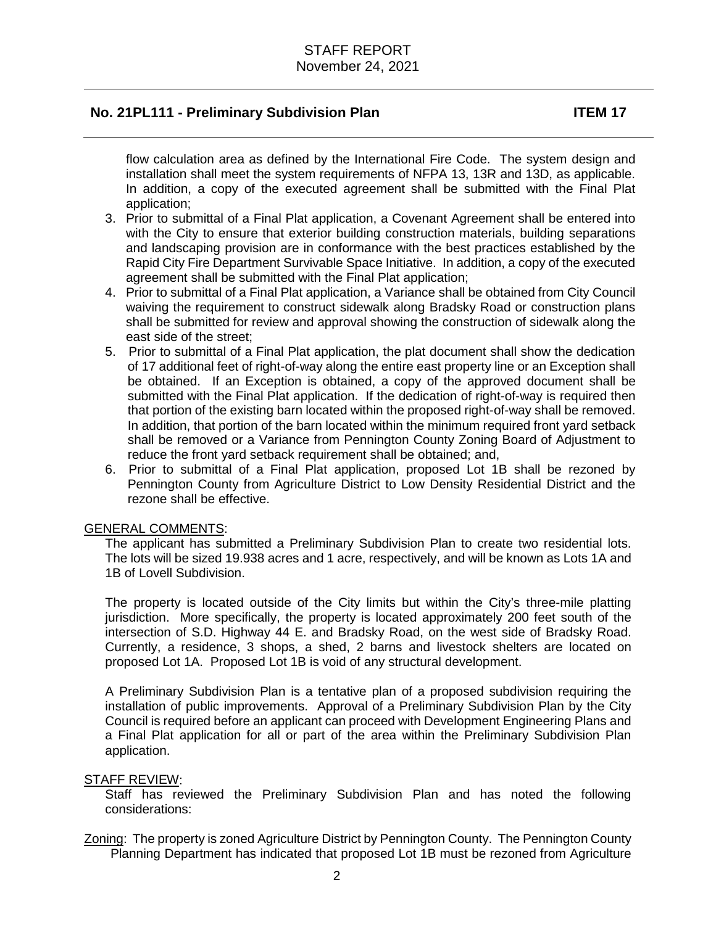flow calculation area as defined by the International Fire Code. The system design and installation shall meet the system requirements of NFPA 13, 13R and 13D, as applicable. In addition, a copy of the executed agreement shall be submitted with the Final Plat application;

- 3. Prior to submittal of a Final Plat application, a Covenant Agreement shall be entered into with the City to ensure that exterior building construction materials, building separations and landscaping provision are in conformance with the best practices established by the Rapid City Fire Department Survivable Space Initiative. In addition, a copy of the executed agreement shall be submitted with the Final Plat application;
- 4. Prior to submittal of a Final Plat application, a Variance shall be obtained from City Council waiving the requirement to construct sidewalk along Bradsky Road or construction plans shall be submitted for review and approval showing the construction of sidewalk along the east side of the street;
- 5. Prior to submittal of a Final Plat application, the plat document shall show the dedication of 17 additional feet of right-of-way along the entire east property line or an Exception shall be obtained. If an Exception is obtained, a copy of the approved document shall be submitted with the Final Plat application. If the dedication of right-of-way is required then that portion of the existing barn located within the proposed right-of-way shall be removed. In addition, that portion of the barn located within the minimum required front yard setback shall be removed or a Variance from Pennington County Zoning Board of Adjustment to reduce the front yard setback requirement shall be obtained; and,
- 6. Prior to submittal of a Final Plat application, proposed Lot 1B shall be rezoned by Pennington County from Agriculture District to Low Density Residential District and the rezone shall be effective.

### GENERAL COMMENTS:

The applicant has submitted a Preliminary Subdivision Plan to create two residential lots. The lots will be sized 19.938 acres and 1 acre, respectively, and will be known as Lots 1A and 1B of Lovell Subdivision.

The property is located outside of the City limits but within the City's three-mile platting jurisdiction. More specifically, the property is located approximately 200 feet south of the intersection of S.D. Highway 44 E. and Bradsky Road, on the west side of Bradsky Road. Currently, a residence, 3 shops, a shed, 2 barns and livestock shelters are located on proposed Lot 1A. Proposed Lot 1B is void of any structural development.

A Preliminary Subdivision Plan is a tentative plan of a proposed subdivision requiring the installation of public improvements. Approval of a Preliminary Subdivision Plan by the City Council is required before an applicant can proceed with Development Engineering Plans and a Final Plat application for all or part of the area within the Preliminary Subdivision Plan application.

### STAFF REVIEW:

Staff has reviewed the Preliminary Subdivision Plan and has noted the following considerations:

Zoning: The property is zoned Agriculture District by Pennington County. The Pennington County Planning Department has indicated that proposed Lot 1B must be rezoned from Agriculture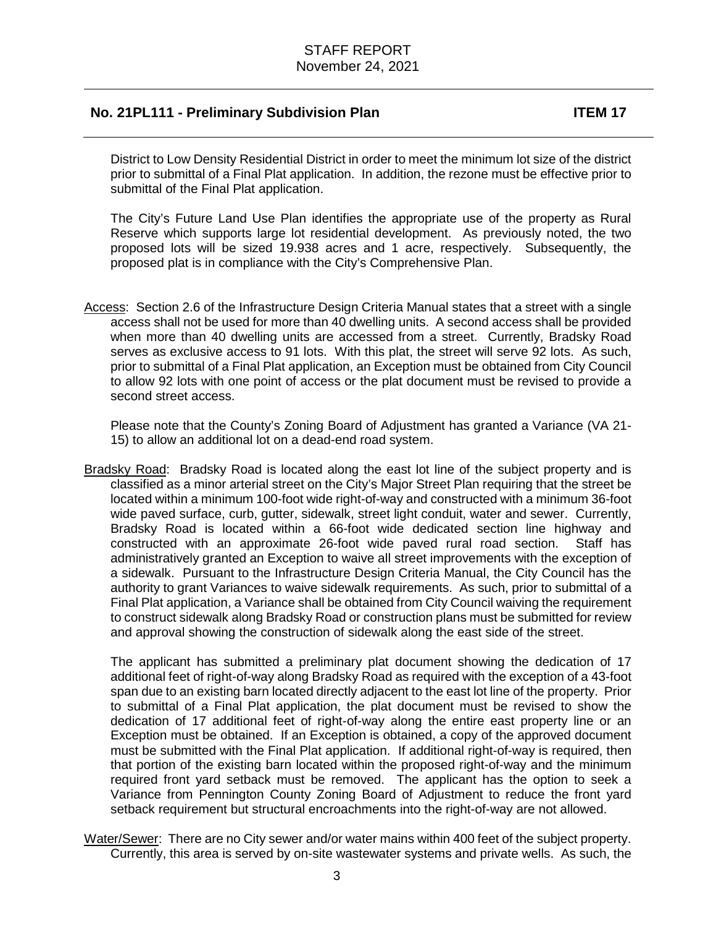District to Low Density Residential District in order to meet the minimum lot size of the district prior to submittal of a Final Plat application. In addition, the rezone must be effective prior to submittal of the Final Plat application.

The City's Future Land Use Plan identifies the appropriate use of the property as Rural Reserve which supports large lot residential development. As previously noted, the two proposed lots will be sized 19.938 acres and 1 acre, respectively. Subsequently, the proposed plat is in compliance with the City's Comprehensive Plan.

Access: Section 2.6 of the Infrastructure Design Criteria Manual states that a street with a single access shall not be used for more than 40 dwelling units. A second access shall be provided when more than 40 dwelling units are accessed from a street. Currently, Bradsky Road serves as exclusive access to 91 lots. With this plat, the street will serve 92 lots. As such, prior to submittal of a Final Plat application, an Exception must be obtained from City Council to allow 92 lots with one point of access or the plat document must be revised to provide a second street access.

 Please note that the County's Zoning Board of Adjustment has granted a Variance (VA 21- 15) to allow an additional lot on a dead-end road system.

Bradsky Road: Bradsky Road is located along the east lot line of the subject property and is classified as a minor arterial street on the City's Major Street Plan requiring that the street be located within a minimum 100-foot wide right-of-way and constructed with a minimum 36-foot wide paved surface, curb, gutter, sidewalk, street light conduit, water and sewer. Currently, Bradsky Road is located within a 66-foot wide dedicated section line highway and constructed with an approximate 26-foot wide paved rural road section. Staff has administratively granted an Exception to waive all street improvements with the exception of a sidewalk. Pursuant to the Infrastructure Design Criteria Manual, the City Council has the authority to grant Variances to waive sidewalk requirements. As such, prior to submittal of a Final Plat application, a Variance shall be obtained from City Council waiving the requirement to construct sidewalk along Bradsky Road or construction plans must be submitted for review and approval showing the construction of sidewalk along the east side of the street.

The applicant has submitted a preliminary plat document showing the dedication of 17 additional feet of right-of-way along Bradsky Road as required with the exception of a 43-foot span due to an existing barn located directly adjacent to the east lot line of the property. Prior to submittal of a Final Plat application, the plat document must be revised to show the dedication of 17 additional feet of right-of-way along the entire east property line or an Exception must be obtained. If an Exception is obtained, a copy of the approved document must be submitted with the Final Plat application. If additional right-of-way is required, then that portion of the existing barn located within the proposed right-of-way and the minimum required front yard setback must be removed. The applicant has the option to seek a Variance from Pennington County Zoning Board of Adjustment to reduce the front yard setback requirement but structural encroachments into the right-of-way are not allowed.

Water/Sewer: There are no City sewer and/or water mains within 400 feet of the subject property. Currently, this area is served by on-site wastewater systems and private wells. As such, the